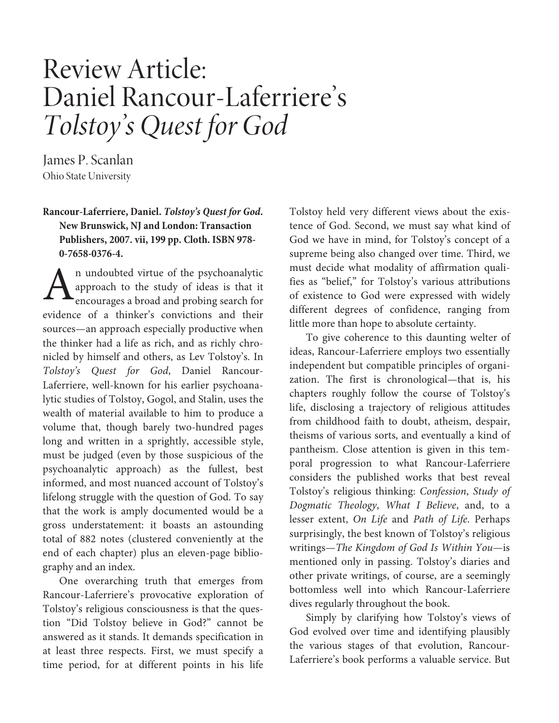## Review Article: Daniel Rancour-Laferriere's Tolstoy's Quest for God

James P. Scanlan Ohio State University

## **Rancour-Laferriere, Daniel. Tolstoy's Quest for God. New Brunswick, NJ and London: Transaction Publishers, 2007. vii, 199 pp. Cloth. ISBN 978- 0-7658-0376-4.**

n undoubted virtue of the psychoanalytic approach to the study of ideas is that it encourages a broad and probing search for evidence of a thinker's convictions and their sources—an approach especially productive when the thinker had a life as rich, and as richly chronicled by himself and others, as Lev Tolstoy's. In Tolstoy's Quest for God, Daniel Rancour-Laferriere, well-known for his earlier psychoanalytic studies of Tolstoy, Gogol, and Stalin, uses the wealth of material available to him to produce a volume that, though barely two-hundred pages long and written in a sprightly, accessible style, must be judged (even by those suspicious of the psychoanalytic approach) as the fullest, best informed, and most nuanced account of Tolstoy's lifelong struggle with the question of God. To say that the work is amply documented would be a gross understatement: it boasts an astounding total of 882 notes (clustered conveniently at the end of each chapter) plus an eleven-page bibliography and an index. A

One overarching truth that emerges from Rancour-Laferriere's provocative exploration of Tolstoy's religious consciousness is that the question "Did Tolstoy believe in God?" cannot be answered as it stands. It demands specification in at least three respects. First, we must specify a time period, for at different points in his life

Tolstoy held very different views about the existence of God. Second, we must say what kind of God we have in mind, for Tolstoy's concept of a supreme being also changed over time. Third, we must decide what modality of affirmation qualifies as "belief," for Tolstoy's various attributions of existence to God were expressed with widely different degrees of confidence, ranging from little more than hope to absolute certainty.

To give coherence to this daunting welter of ideas, Rancour-Laferriere employs two essentially independent but compatible principles of organization. The first is chronological—that is, his chapters roughly follow the course of Tolstoy's life, disclosing a trajectory of religious attitudes from childhood faith to doubt, atheism, despair, theisms of various sorts, and eventually a kind of pantheism. Close attention is given in this temporal progression to what Rancour-Laferriere considers the published works that best reveal Tolstoy's religious thinking: Confession, Study of Dogmatic Theology, What I Believe, and, to a lesser extent, On Life and Path of Life. Perhaps surprisingly, the best known of Tolstoy's religious writings—The Kingdom of God Is Within You—is mentioned only in passing. Tolstoy's diaries and other private writings, of course, are a seemingly bottomless well into which Rancour-Laferriere dives regularly throughout the book.

Simply by clarifying how Tolstoy's views of God evolved over time and identifying plausibly the various stages of that evolution, Rancour-Laferriere's book performs a valuable service. But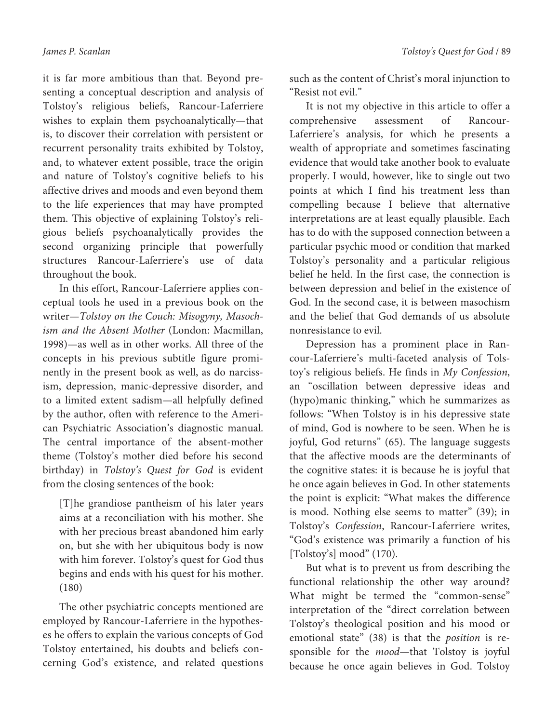it is far more ambitious than that. Beyond presenting a conceptual description and analysis of Tolstoy's religious beliefs, Rancour-Laferriere wishes to explain them psychoanalytically—that is, to discover their correlation with persistent or recurrent personality traits exhibited by Tolstoy, and, to whatever extent possible, trace the origin and nature of Tolstoy's cognitive beliefs to his affective drives and moods and even beyond them to the life experiences that may have prompted them. This objective of explaining Tolstoy's religious beliefs psychoanalytically provides the second organizing principle that powerfully structures Rancour-Laferriere's use of data throughout the book.

In this effort, Rancour-Laferriere applies conceptual tools he used in a previous book on the writer—Tolstoy on the Couch: Misogyny, Masochism and the Absent Mother (London: Macmillan, 1998)—as well as in other works. All three of the concepts in his previous subtitle figure prominently in the present book as well, as do narcissism, depression, manic-depressive disorder, and to a limited extent sadism—all helpfully defined by the author, often with reference to the American Psychiatric Association's diagnostic manual. The central importance of the absent-mother theme (Tolstoy's mother died before his second birthday) in Tolstoy's Quest for God is evident from the closing sentences of the book:

[T]he grandiose pantheism of his later years aims at a reconciliation with his mother. She with her precious breast abandoned him early on, but she with her ubiquitous body is now with him forever. Tolstoy's quest for God thus begins and ends with his quest for his mother. (180)

The other psychiatric concepts mentioned are employed by Rancour-Laferriere in the hypotheses he offers to explain the various concepts of God Tolstoy entertained, his doubts and beliefs concerning God's existence, and related questions such as the content of Christ's moral injunction to "Resist not evil."

It is not my objective in this article to offer a comprehensive assessment of Rancour-Laferriere's analysis, for which he presents a wealth of appropriate and sometimes fascinating evidence that would take another book to evaluate properly. I would, however, like to single out two points at which I find his treatment less than compelling because I believe that alternative interpretations are at least equally plausible. Each has to do with the supposed connection between a particular psychic mood or condition that marked Tolstoy's personality and a particular religious belief he held. In the first case, the connection is between depression and belief in the existence of God. In the second case, it is between masochism and the belief that God demands of us absolute nonresistance to evil.

Depression has a prominent place in Rancour-Laferriere's multi-faceted analysis of Tolstoy's religious beliefs. He finds in My Confession, an "oscillation between depressive ideas and (hypo)manic thinking," which he summarizes as follows: "When Tolstoy is in his depressive state of mind, God is nowhere to be seen. When he is joyful, God returns" (65). The language suggests that the affective moods are the determinants of the cognitive states: it is because he is joyful that he once again believes in God. In other statements the point is explicit: "What makes the difference is mood. Nothing else seems to matter" (39); in Tolstoy's Confession, Rancour-Laferriere writes, "God's existence was primarily a function of his [Tolstoy's] mood" (170).

But what is to prevent us from describing the functional relationship the other way around? What might be termed the "common-sense" interpretation of the "direct correlation between Tolstoy's theological position and his mood or emotional state" (38) is that the position is responsible for the mood—that Tolstoy is joyful because he once again believes in God. Tolstoy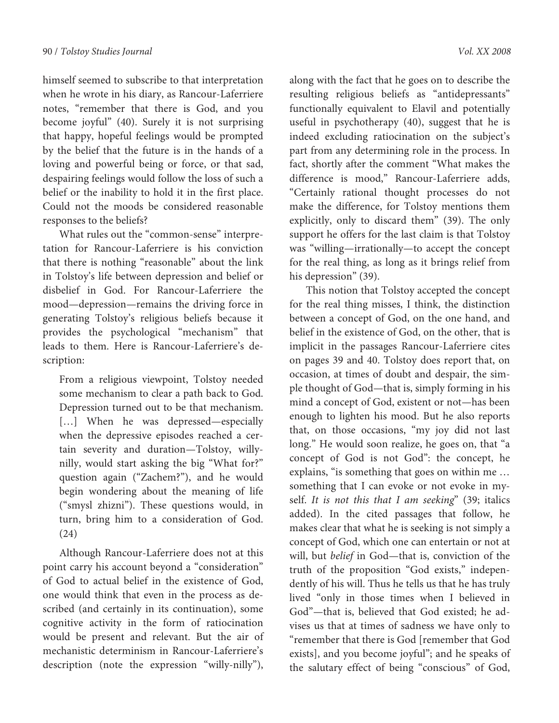himself seemed to subscribe to that interpretation when he wrote in his diary, as Rancour-Laferriere notes, "remember that there is God, and you become joyful" (40). Surely it is not surprising that happy, hopeful feelings would be prompted by the belief that the future is in the hands of a loving and powerful being or force, or that sad, despairing feelings would follow the loss of such a belief or the inability to hold it in the first place. Could not the moods be considered reasonable responses to the beliefs?

What rules out the "common-sense" interpretation for Rancour-Laferriere is his conviction that there is nothing "reasonable" about the link in Tolstoy's life between depression and belief or disbelief in God. For Rancour-Laferriere the mood—depression—remains the driving force in generating Tolstoy's religious beliefs because it provides the psychological "mechanism" that leads to them. Here is Rancour-Laferriere's description:

From a religious viewpoint, Tolstoy needed some mechanism to clear a path back to God. Depression turned out to be that mechanism. [...] When he was depressed—especially when the depressive episodes reached a certain severity and duration—Tolstoy, willynilly, would start asking the big "What for?" question again ("Zachem?"), and he would begin wondering about the meaning of life ("smysl zhizni"). These questions would, in turn, bring him to a consideration of God. (24)

Although Rancour-Laferriere does not at this point carry his account beyond a "consideration" of God to actual belief in the existence of God, one would think that even in the process as described (and certainly in its continuation), some cognitive activity in the form of ratiocination would be present and relevant. But the air of mechanistic determinism in Rancour-Laferriere's description (note the expression "willy-nilly"),

along with the fact that he goes on to describe the resulting religious beliefs as "antidepressants" functionally equivalent to Elavil and potentially useful in psychotherapy (40), suggest that he is indeed excluding ratiocination on the subject's part from any determining role in the process. In fact, shortly after the comment "What makes the difference is mood," Rancour-Laferriere adds, "Certainly rational thought processes do not make the difference, for Tolstoy mentions them explicitly, only to discard them" (39). The only support he offers for the last claim is that Tolstoy was "willing—irrationally—to accept the concept for the real thing, as long as it brings relief from his depression" (39).

This notion that Tolstoy accepted the concept for the real thing misses, I think, the distinction between a concept of God, on the one hand, and belief in the existence of God, on the other, that is implicit in the passages Rancour-Laferriere cites on pages 39 and 40. Tolstoy does report that, on occasion, at times of doubt and despair, the simple thought of God—that is, simply forming in his mind a concept of God, existent or not—has been enough to lighten his mood. But he also reports that, on those occasions, "my joy did not last long." He would soon realize, he goes on, that "a concept of God is not God": the concept, he explains, "is something that goes on within me … something that I can evoke or not evoke in myself. It is not this that I am seeking" (39; italics added). In the cited passages that follow, he makes clear that what he is seeking is not simply a concept of God, which one can entertain or not at will, but belief in God—that is, conviction of the truth of the proposition "God exists," independently of his will. Thus he tells us that he has truly lived "only in those times when I believed in God"—that is, believed that God existed; he advises us that at times of sadness we have only to "remember that there is God [remember that God exists], and you become joyful"; and he speaks of the salutary effect of being "conscious" of God,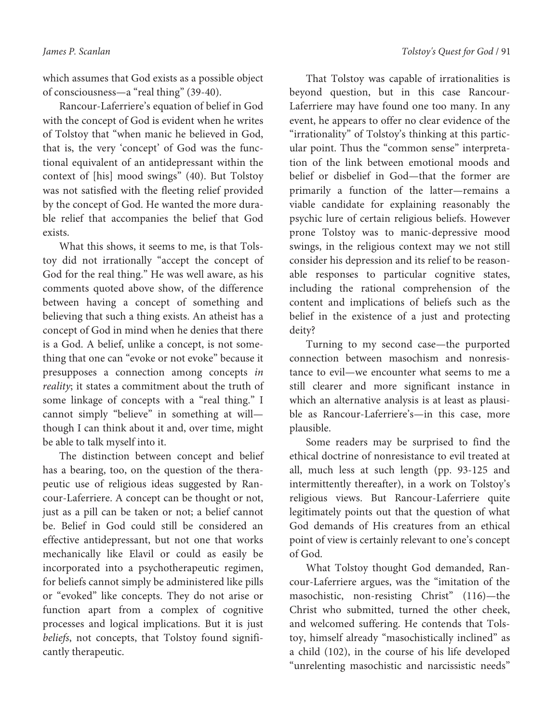which assumes that God exists as a possible object of consciousness—a "real thing" (39-40).

Rancour-Laferriere's equation of belief in God with the concept of God is evident when he writes of Tolstoy that "when manic he believed in God, that is, the very 'concept' of God was the functional equivalent of an antidepressant within the context of [his] mood swings" (40). But Tolstoy was not satisfied with the fleeting relief provided by the concept of God. He wanted the more durable relief that accompanies the belief that God exists.

What this shows, it seems to me, is that Tolstoy did not irrationally "accept the concept of God for the real thing." He was well aware, as his comments quoted above show, of the difference between having a concept of something and believing that such a thing exists. An atheist has a concept of God in mind when he denies that there is a God. A belief, unlike a concept, is not something that one can "evoke or not evoke" because it presupposes a connection among concepts in reality; it states a commitment about the truth of some linkage of concepts with a "real thing." I cannot simply "believe" in something at will though I can think about it and, over time, might be able to talk myself into it.

The distinction between concept and belief has a bearing, too, on the question of the therapeutic use of religious ideas suggested by Rancour-Laferriere. A concept can be thought or not, just as a pill can be taken or not; a belief cannot be. Belief in God could still be considered an effective antidepressant, but not one that works mechanically like Elavil or could as easily be incorporated into a psychotherapeutic regimen, for beliefs cannot simply be administered like pills or "evoked" like concepts. They do not arise or function apart from a complex of cognitive processes and logical implications. But it is just beliefs, not concepts, that Tolstoy found significantly therapeutic.

That Tolstoy was capable of irrationalities is beyond question, but in this case Rancour-Laferriere may have found one too many. In any event, he appears to offer no clear evidence of the "irrationality" of Tolstoy's thinking at this particular point. Thus the "common sense" interpretation of the link between emotional moods and belief or disbelief in God—that the former are primarily a function of the latter—remains a viable candidate for explaining reasonably the psychic lure of certain religious beliefs. However prone Tolstoy was to manic-depressive mood swings, in the religious context may we not still consider his depression and its relief to be reasonable responses to particular cognitive states, including the rational comprehension of the content and implications of beliefs such as the belief in the existence of a just and protecting deity?

Turning to my second case—the purported connection between masochism and nonresistance to evil—we encounter what seems to me a still clearer and more significant instance in which an alternative analysis is at least as plausible as Rancour-Laferriere's—in this case, more plausible.

Some readers may be surprised to find the ethical doctrine of nonresistance to evil treated at all, much less at such length (pp. 93-125 and intermittently thereafter), in a work on Tolstoy's religious views. But Rancour-Laferriere quite legitimately points out that the question of what God demands of His creatures from an ethical point of view is certainly relevant to one's concept of God.

What Tolstoy thought God demanded, Rancour-Laferriere argues, was the "imitation of the masochistic, non-resisting Christ" (116)—the Christ who submitted, turned the other cheek, and welcomed suffering. He contends that Tolstoy, himself already "masochistically inclined" as a child (102), in the course of his life developed "unrelenting masochistic and narcissistic needs"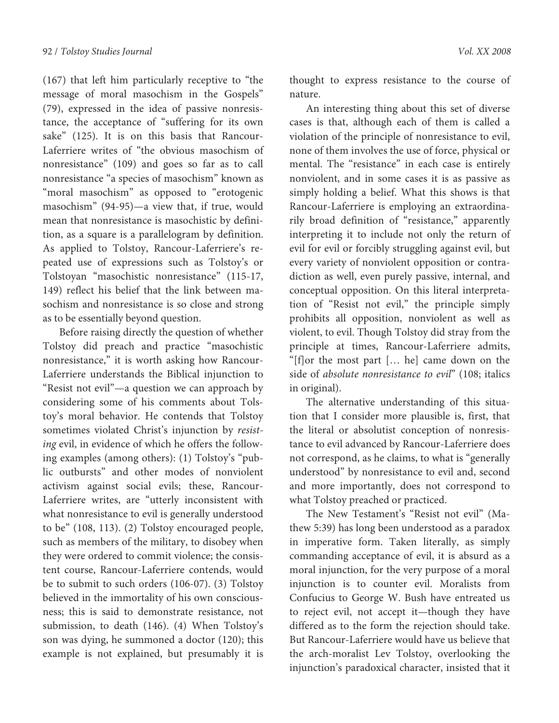(167) that left him particularly receptive to "the message of moral masochism in the Gospels" (79), expressed in the idea of passive nonresistance, the acceptance of "suffering for its own sake" (125). It is on this basis that Rancour-Laferriere writes of "the obvious masochism of nonresistance" (109) and goes so far as to call nonresistance "a species of masochism" known as "moral masochism" as opposed to "erotogenic masochism" (94-95)—a view that, if true, would mean that nonresistance is masochistic by definition, as a square is a parallelogram by definition. As applied to Tolstoy, Rancour-Laferriere's repeated use of expressions such as Tolstoy's or Tolstoyan "masochistic nonresistance" (115-17, 149) reflect his belief that the link between masochism and nonresistance is so close and strong as to be essentially beyond question.

Before raising directly the question of whether Tolstoy did preach and practice "masochistic nonresistance," it is worth asking how Rancour-Laferriere understands the Biblical injunction to "Resist not evil"—a question we can approach by considering some of his comments about Tolstoy's moral behavior. He contends that Tolstoy sometimes violated Christ's injunction by resisting evil, in evidence of which he offers the following examples (among others): (1) Tolstoy's "public outbursts" and other modes of nonviolent activism against social evils; these, Rancour-Laferriere writes, are "utterly inconsistent with what nonresistance to evil is generally understood to be" (108, 113). (2) Tolstoy encouraged people, such as members of the military, to disobey when they were ordered to commit violence; the consistent course, Rancour-Laferriere contends, would be to submit to such orders (106-07). (3) Tolstoy believed in the immortality of his own consciousness; this is said to demonstrate resistance, not submission, to death (146). (4) When Tolstoy's son was dying, he summoned a doctor (120); this example is not explained, but presumably it is

thought to express resistance to the course of nature.

An interesting thing about this set of diverse cases is that, although each of them is called a violation of the principle of nonresistance to evil, none of them involves the use of force, physical or mental. The "resistance" in each case is entirely nonviolent, and in some cases it is as passive as simply holding a belief. What this shows is that Rancour-Laferriere is employing an extraordinarily broad definition of "resistance," apparently interpreting it to include not only the return of evil for evil or forcibly struggling against evil, but every variety of nonviolent opposition or contradiction as well, even purely passive, internal, and conceptual opposition. On this literal interpretation of "Resist not evil," the principle simply prohibits all opposition, nonviolent as well as violent, to evil. Though Tolstoy did stray from the principle at times, Rancour-Laferriere admits, "[f]or the most part [… he] came down on the side of absolute nonresistance to evil" (108; italics in original).

The alternative understanding of this situation that I consider more plausible is, first, that the literal or absolutist conception of nonresistance to evil advanced by Rancour-Laferriere does not correspond, as he claims, to what is "generally understood" by nonresistance to evil and, second and more importantly, does not correspond to what Tolstoy preached or practiced.

The New Testament's "Resist not evil" (Mathew 5:39) has long been understood as a paradox in imperative form. Taken literally, as simply commanding acceptance of evil, it is absurd as a moral injunction, for the very purpose of a moral injunction is to counter evil. Moralists from Confucius to George W. Bush have entreated us to reject evil, not accept it—though they have differed as to the form the rejection should take. But Rancour-Laferriere would have us believe that the arch-moralist Lev Tolstoy, overlooking the injunction's paradoxical character, insisted that it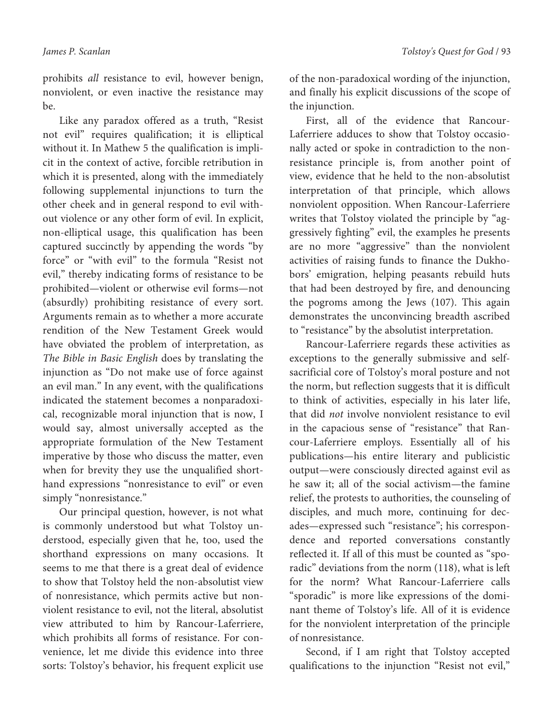prohibits all resistance to evil, however benign, nonviolent, or even inactive the resistance may be.

Like any paradox offered as a truth, "Resist not evil" requires qualification; it is elliptical without it. In Mathew 5 the qualification is implicit in the context of active, forcible retribution in which it is presented, along with the immediately following supplemental injunctions to turn the other cheek and in general respond to evil without violence or any other form of evil. In explicit, non-elliptical usage, this qualification has been captured succinctly by appending the words "by force" or "with evil" to the formula "Resist not evil," thereby indicating forms of resistance to be prohibited—violent or otherwise evil forms—not (absurdly) prohibiting resistance of every sort. Arguments remain as to whether a more accurate rendition of the New Testament Greek would have obviated the problem of interpretation, as The Bible in Basic English does by translating the injunction as "Do not make use of force against an evil man." In any event, with the qualifications indicated the statement becomes a nonparadoxical, recognizable moral injunction that is now, I would say, almost universally accepted as the appropriate formulation of the New Testament imperative by those who discuss the matter, even when for brevity they use the unqualified shorthand expressions "nonresistance to evil" or even simply "nonresistance."

Our principal question, however, is not what is commonly understood but what Tolstoy understood, especially given that he, too, used the shorthand expressions on many occasions. It seems to me that there is a great deal of evidence to show that Tolstoy held the non-absolutist view of nonresistance, which permits active but nonviolent resistance to evil, not the literal, absolutist view attributed to him by Rancour-Laferriere, which prohibits all forms of resistance. For convenience, let me divide this evidence into three sorts: Tolstoy's behavior, his frequent explicit use of the non-paradoxical wording of the injunction, and finally his explicit discussions of the scope of the injunction.

First, all of the evidence that Rancour-Laferriere adduces to show that Tolstoy occasionally acted or spoke in contradiction to the nonresistance principle is, from another point of view, evidence that he held to the non-absolutist interpretation of that principle, which allows nonviolent opposition. When Rancour-Laferriere writes that Tolstoy violated the principle by "aggressively fighting" evil, the examples he presents are no more "aggressive" than the nonviolent activities of raising funds to finance the Dukhobors' emigration, helping peasants rebuild huts that had been destroyed by fire, and denouncing the pogroms among the Jews (107). This again demonstrates the unconvincing breadth ascribed to "resistance" by the absolutist interpretation.

Rancour-Laferriere regards these activities as exceptions to the generally submissive and selfsacrificial core of Tolstoy's moral posture and not the norm, but reflection suggests that it is difficult to think of activities, especially in his later life, that did not involve nonviolent resistance to evil in the capacious sense of "resistance" that Rancour-Laferriere employs. Essentially all of his publications—his entire literary and publicistic output—were consciously directed against evil as he saw it; all of the social activism—the famine relief, the protests to authorities, the counseling of disciples, and much more, continuing for decades—expressed such "resistance"; his correspondence and reported conversations constantly reflected it. If all of this must be counted as "sporadic" deviations from the norm (118), what is left for the norm? What Rancour-Laferriere calls "sporadic" is more like expressions of the dominant theme of Tolstoy's life. All of it is evidence for the nonviolent interpretation of the principle of nonresistance.

Second, if I am right that Tolstoy accepted qualifications to the injunction "Resist not evil,"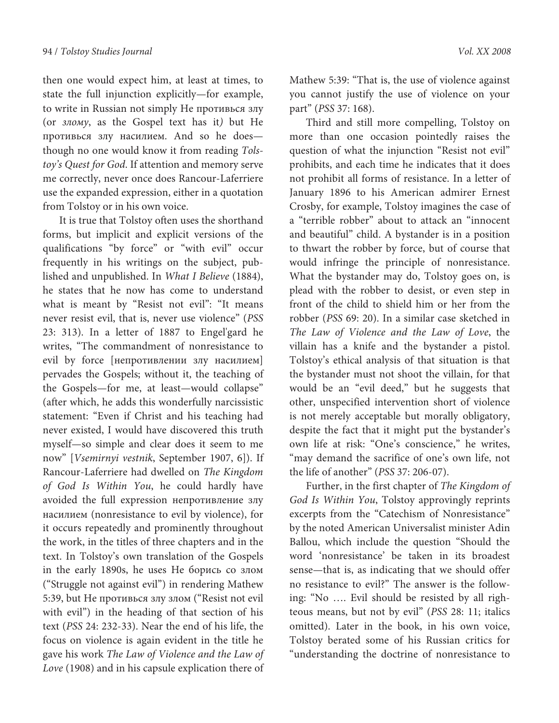then one would expect him, at least at times, to state the full injunction explicitly—for example, to write in Russian not simply Не противься злу (or злому, as the Gospel text has it) but Не противься злу насилием. And so he does though no one would know it from reading Tolstoy's Quest for God. If attention and memory serve me correctly, never once does Rancour-Laferriere use the expanded expression, either in a quotation from Tolstoy or in his own voice.

It is true that Tolstoy often uses the shorthand forms, but implicit and explicit versions of the qualifications "by force" or "with evil" occur frequently in his writings on the subject, published and unpublished. In What I Believe (1884), he states that he now has come to understand what is meant by "Resist not evil": "It means never resist evil, that is, never use violence" (PSS 23: 313). In a letter of 1887 to Engel'gard he writes, "The commandment of nonresistance to evil by force [непротивлении злу насилием] pervades the Gospels; without it, the teaching of the Gospels—for me, at least—would collapse" (after which, he adds this wonderfully narcissistic statement: "Even if Christ and his teaching had never existed, I would have discovered this truth myself—so simple and clear does it seem to me now" [Vsemirnyi vestnik, September 1907, 6]). If Rancour-Laferriere had dwelled on The Kingdom of God Is Within You, he could hardly have avoided the full expression непротивление злу насилием (nonresistance to evil by violence), for it occurs repeatedly and prominently throughout the work, in the titles of three chapters and in the text. In Tolstoy's own translation of the Gospels in the early 1890s, he uses Не борись со злом ("Struggle not against evil") in rendering Mathew 5:39, but Не противься злу злом ("Resist not evil with evil") in the heading of that section of his text (PSS 24: 232-33). Near the end of his life, the focus on violence is again evident in the title he gave his work The Law of Violence and the Law of Love (1908) and in his capsule explication there of

Mathew 5:39: "That is, the use of violence against you cannot justify the use of violence on your part" (PSS 37: 168).

Third and still more compelling, Tolstoy on more than one occasion pointedly raises the question of what the injunction "Resist not evil" prohibits, and each time he indicates that it does not prohibit all forms of resistance. In a letter of January 1896 to his American admirer Ernest Crosby, for example, Tolstoy imagines the case of a "terrible robber" about to attack an "innocent and beautiful" child. A bystander is in a position to thwart the robber by force, but of course that would infringe the principle of nonresistance. What the bystander may do, Tolstoy goes on, is plead with the robber to desist, or even step in front of the child to shield him or her from the robber (PSS 69: 20). In a similar case sketched in The Law of Violence and the Law of Love, the villain has a knife and the bystander a pistol. Tolstoy's ethical analysis of that situation is that the bystander must not shoot the villain, for that would be an "evil deed," but he suggests that other, unspecified intervention short of violence is not merely acceptable but morally obligatory, despite the fact that it might put the bystander's own life at risk: "One's conscience," he writes, "may demand the sacrifice of one's own life, not the life of another" (PSS 37: 206-07).

Further, in the first chapter of The Kingdom of God Is Within You, Tolstoy approvingly reprints excerpts from the "Catechism of Nonresistance" by the noted American Universalist minister Adin Ballou, which include the question "Should the word 'nonresistance' be taken in its broadest sense—that is, as indicating that we should offer no resistance to evil?" The answer is the following: "No …. Evil should be resisted by all righteous means, but not by evil" (PSS 28: 11; italics omitted). Later in the book, in his own voice, Tolstoy berated some of his Russian critics for "understanding the doctrine of nonresistance to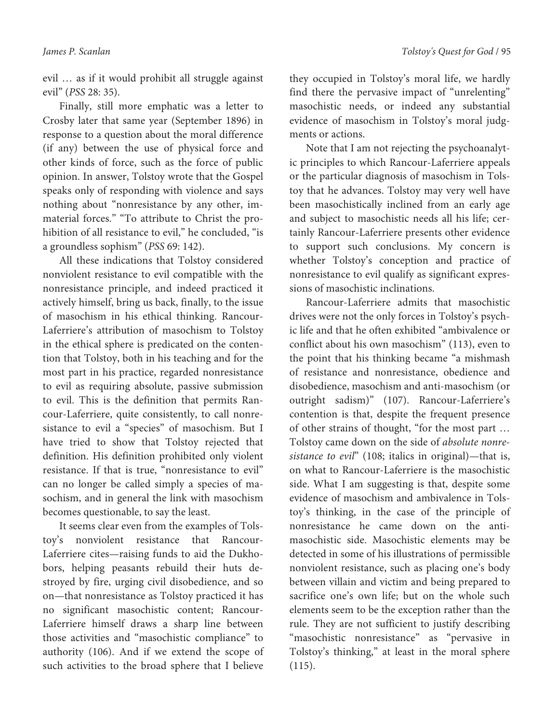evil … as if it would prohibit all struggle against evil" (PSS 28: 35).

Finally, still more emphatic was a letter to Crosby later that same year (September 1896) in response to a question about the moral difference (if any) between the use of physical force and other kinds of force, such as the force of public opinion. In answer, Tolstoy wrote that the Gospel speaks only of responding with violence and says nothing about "nonresistance by any other, immaterial forces." "To attribute to Christ the prohibition of all resistance to evil," he concluded, "is a groundless sophism" (PSS 69: 142).

All these indications that Tolstoy considered nonviolent resistance to evil compatible with the nonresistance principle, and indeed practiced it actively himself, bring us back, finally, to the issue of masochism in his ethical thinking. Rancour-Laferriere's attribution of masochism to Tolstoy in the ethical sphere is predicated on the contention that Tolstoy, both in his teaching and for the most part in his practice, regarded nonresistance to evil as requiring absolute, passive submission to evil. This is the definition that permits Rancour-Laferriere, quite consistently, to call nonresistance to evil a "species" of masochism. But I have tried to show that Tolstoy rejected that definition. His definition prohibited only violent resistance. If that is true, "nonresistance to evil" can no longer be called simply a species of masochism, and in general the link with masochism becomes questionable, to say the least.

It seems clear even from the examples of Tolstoy's nonviolent resistance that Rancour-Laferriere cites—raising funds to aid the Dukhobors, helping peasants rebuild their huts destroyed by fire, urging civil disobedience, and so on—that nonresistance as Tolstoy practiced it has no significant masochistic content; Rancour-Laferriere himself draws a sharp line between those activities and "masochistic compliance" to authority (106). And if we extend the scope of such activities to the broad sphere that I believe

they occupied in Tolstoy's moral life, we hardly find there the pervasive impact of "unrelenting" masochistic needs, or indeed any substantial evidence of masochism in Tolstoy's moral judgments or actions.

Note that I am not rejecting the psychoanalytic principles to which Rancour-Laferriere appeals or the particular diagnosis of masochism in Tolstoy that he advances. Tolstoy may very well have been masochistically inclined from an early age and subject to masochistic needs all his life; certainly Rancour-Laferriere presents other evidence to support such conclusions. My concern is whether Tolstoy's conception and practice of nonresistance to evil qualify as significant expressions of masochistic inclinations.

Rancour-Laferriere admits that masochistic drives were not the only forces in Tolstoy's psychic life and that he often exhibited "ambivalence or conflict about his own masochism" (113), even to the point that his thinking became "a mishmash of resistance and nonresistance, obedience and disobedience, masochism and anti-masochism (or outright sadism)" (107). Rancour-Laferriere's contention is that, despite the frequent presence of other strains of thought, "for the most part … Tolstoy came down on the side of absolute nonresistance to evil" (108; italics in original)—that is, on what to Rancour-Laferriere is the masochistic side. What I am suggesting is that, despite some evidence of masochism and ambivalence in Tolstoy's thinking, in the case of the principle of nonresistance he came down on the antimasochistic side. Masochistic elements may be detected in some of his illustrations of permissible nonviolent resistance, such as placing one's body between villain and victim and being prepared to sacrifice one's own life; but on the whole such elements seem to be the exception rather than the rule. They are not sufficient to justify describing "masochistic nonresistance" as "pervasive in Tolstoy's thinking," at least in the moral sphere  $(115).$